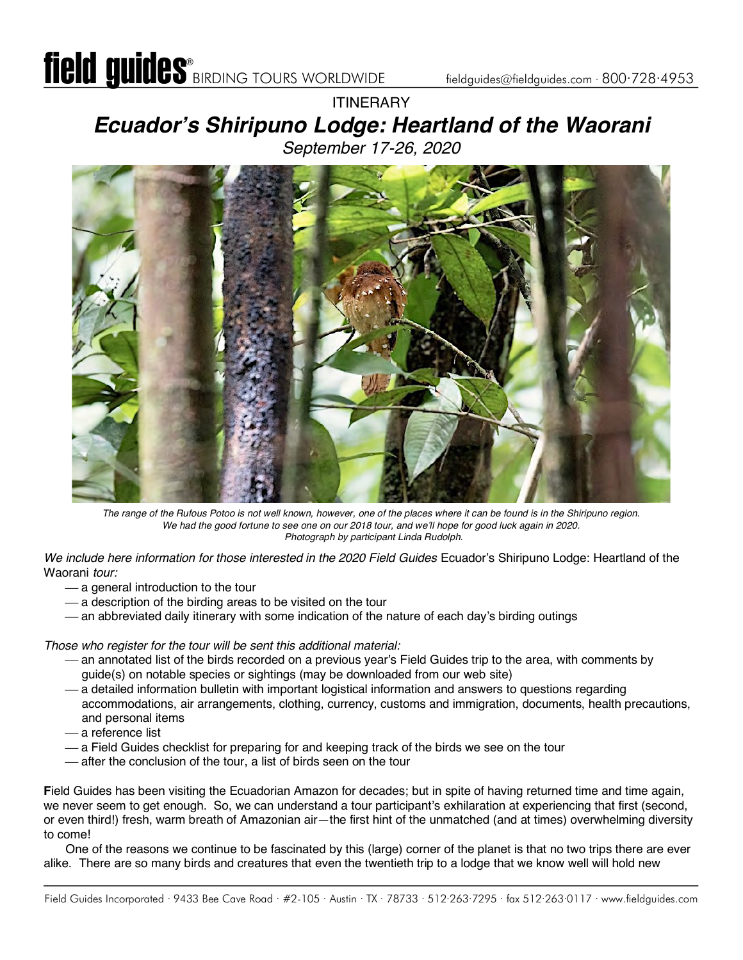### **ITINERARY** *Ecuador's Shiripuno Lodge: Heartland of the Waorani September 17-26, 2020*



*The range of the Rufous Potoo is not well known, however, one of the places where it can be found is in the Shiripuno region. We had the good fortune to see one on our 2018 tour, and we'll hope for good luck again in 2020. Photograph by participant Linda Rudolph.*

*We include here information for those interested in the 2020 Field Guides* Ecuador's Shiripuno Lodge: Heartland of the Waorani *tour:*

- ¾ a general introduction to the tour
- $-$  a description of the birding areas to be visited on the tour
- an abbreviated daily itinerary with some indication of the nature of each day's birding outings

*Those who register for the tour will be sent this additional material:*

- ¾ an annotated list of the birds recorded on a previous year's Field Guides trip to the area, with comments by guide(s) on notable species or sightings (may be downloaded from our web site)
- ¾ a detailed information bulletin with important logistical information and answers to questions regarding accommodations, air arrangements, clothing, currency, customs and immigration, documents, health precautions, and personal items
- ¾ a reference list
- ¾ a Field Guides checklist for preparing for and keeping track of the birds we see on the tour
- ¾ after the conclusion of the tour, a list of birds seen on the tour

**F**ield Guides has been visiting the Ecuadorian Amazon for decades; but in spite of having returned time and time again, we never seem to get enough. So, we can understand a tour participant's exhilaration at experiencing that first (second, or even third!) fresh, warm breath of Amazonian air—the first hint of the unmatched (and at times) overwhelming diversity to come!

One of the reasons we continue to be fascinated by this (large) corner of the planet is that no two trips there are ever alike. There are so many birds and creatures that even the twentieth trip to a lodge that we know well will hold new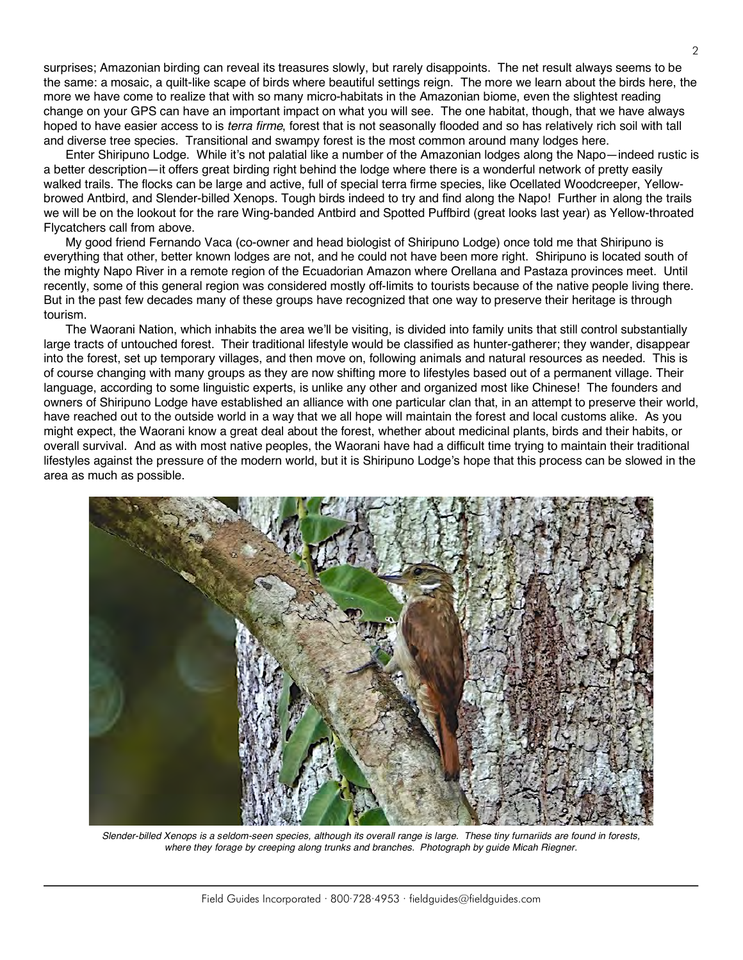surprises; Amazonian birding can reveal its treasures slowly, but rarely disappoints. The net result always seems to be the same: a mosaic, a quilt-like scape of birds where beautiful settings reign. The more we learn about the birds here, the more we have come to realize that with so many micro-habitats in the Amazonian biome, even the slightest reading change on your GPS can have an important impact on what you will see. The one habitat, though, that we have always hoped to have easier access to is *terra firme*, forest that is not seasonally flooded and so has relatively rich soil with tall and diverse tree species. Transitional and swampy forest is the most common around many lodges here.

Enter Shiripuno Lodge. While it's not palatial like a number of the Amazonian lodges along the Napo—indeed rustic is a better description—it offers great birding right behind the lodge where there is a wonderful network of pretty easily walked trails. The flocks can be large and active, full of special terra firme species, like Ocellated Woodcreeper, Yellowbrowed Antbird, and Slender-billed Xenops. Tough birds indeed to try and find along the Napo! Further in along the trails we will be on the lookout for the rare Wing-banded Antbird and Spotted Puffbird (great looks last year) as Yellow-throated Flycatchers call from above.

My good friend Fernando Vaca (co-owner and head biologist of Shiripuno Lodge) once told me that Shiripuno is everything that other, better known lodges are not, and he could not have been more right. Shiripuno is located south of the mighty Napo River in a remote region of the Ecuadorian Amazon where Orellana and Pastaza provinces meet. Until recently, some of this general region was considered mostly off-limits to tourists because of the native people living there. But in the past few decades many of these groups have recognized that one way to preserve their heritage is through tourism.

The Waorani Nation, which inhabits the area we'll be visiting, is divided into family units that still control substantially large tracts of untouched forest. Their traditional lifestyle would be classified as hunter-gatherer; they wander, disappear into the forest, set up temporary villages, and then move on, following animals and natural resources as needed. This is of course changing with many groups as they are now shifting more to lifestyles based out of a permanent village. Their language, according to some linguistic experts, is unlike any other and organized most like Chinese! The founders and owners of Shiripuno Lodge have established an alliance with one particular clan that, in an attempt to preserve their world, have reached out to the outside world in a way that we all hope will maintain the forest and local customs alike. As you might expect, the Waorani know a great deal about the forest, whether about medicinal plants, birds and their habits, or overall survival. And as with most native peoples, the Waorani have had a difficult time trying to maintain their traditional lifestyles against the pressure of the modern world, but it is Shiripuno Lodge's hope that this process can be slowed in the area as much as possible.



*Slender-billed Xenops is a seldom-seen species, although its overall range is large. These tiny furnariids are found in forests, where they forage by creeping along trunks and branches. Photograph by guide Micah Riegner.*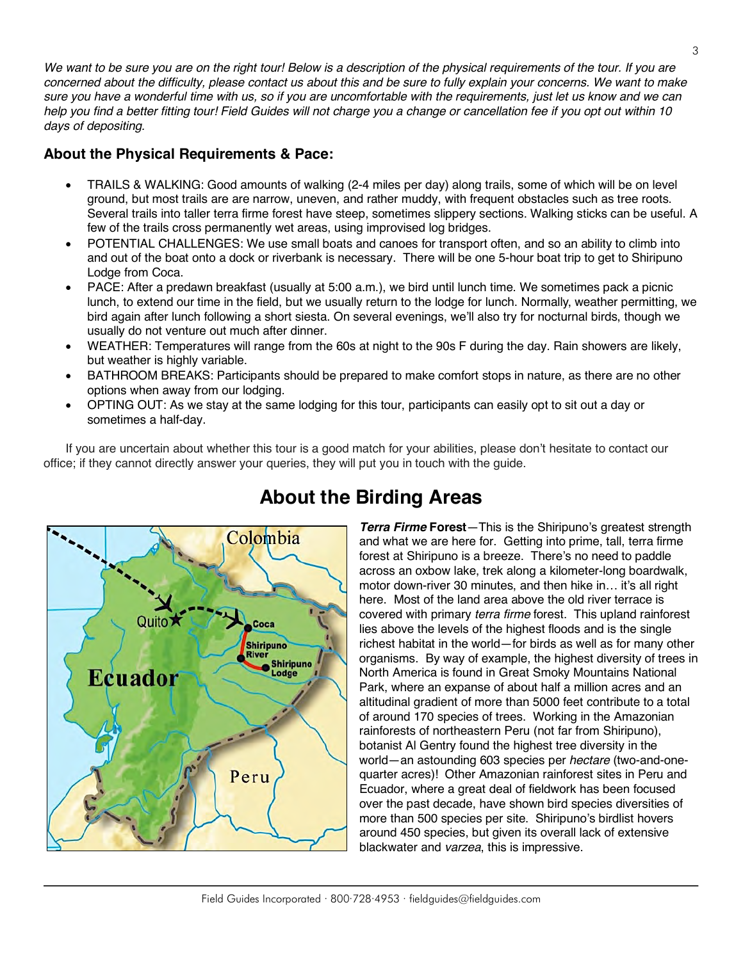We want to be sure you are on the right tour! Below is a description of the physical requirements of the tour. If you are *concerned about the difficulty, please contact us about this and be sure to fully explain your concerns. We want to make sure you have a wonderful time with us, so if you are uncomfortable with the requirements, just let us know and we can help you find a better fitting tour! Field Guides will not charge you a change or cancellation fee if you opt out within 10 days of depositing.*

#### **About the Physical Requirements & Pace:**

- TRAILS & WALKING: Good amounts of walking (2-4 miles per day) along trails, some of which will be on level ground, but most trails are are narrow, uneven, and rather muddy, with frequent obstacles such as tree roots. Several trails into taller terra firme forest have steep, sometimes slippery sections. Walking sticks can be useful. A few of the trails cross permanently wet areas, using improvised log bridges.
- POTENTIAL CHALLENGES: We use small boats and canoes for transport often, and so an ability to climb into and out of the boat onto a dock or riverbank is necessary. There will be one 5-hour boat trip to get to Shiripuno Lodge from Coca.
- PACE: After a predawn breakfast (usually at 5:00 a.m.), we bird until lunch time. We sometimes pack a picnic lunch, to extend our time in the field, but we usually return to the lodge for lunch. Normally, weather permitting, we bird again after lunch following a short siesta. On several evenings, we'll also try for nocturnal birds, though we usually do not venture out much after dinner.
- WEATHER: Temperatures will range from the 60s at night to the 90s F during the day. Rain showers are likely, but weather is highly variable.
- BATHROOM BREAKS: Participants should be prepared to make comfort stops in nature, as there are no other options when away from our lodging.
- OPTING OUT: As we stay at the same lodging for this tour, participants can easily opt to sit out a day or sometimes a half-day.

If you are uncertain about whether this tour is a good match for your abilities, please don't hesitate to contact our office; if they cannot directly answer your queries, they will put you in touch with the guide.



# **About the Birding Areas**

*Terra Firme* **Forest**—This is the Shiripuno's greatest strength and what we are here for. Getting into prime, tall, terra firme forest at Shiripuno is a breeze. There's no need to paddle across an oxbow lake, trek along a kilometer-long boardwalk, motor down-river 30 minutes, and then hike in… it's all right here. Most of the land area above the old river terrace is covered with primary *terra firme* forest. This upland rainforest lies above the levels of the highest floods and is the single richest habitat in the world—for birds as well as for many other organisms. By way of example, the highest diversity of trees in North America is found in Great Smoky Mountains National Park, where an expanse of about half a million acres and an altitudinal gradient of more than 5000 feet contribute to a total of around 170 species of trees. Working in the Amazonian rainforests of northeastern Peru (not far from Shiripuno), botanist Al Gentry found the highest tree diversity in the world—an astounding 603 species per *hectare* (two-and-onequarter acres)! Other Amazonian rainforest sites in Peru and Ecuador, where a great deal of fieldwork has been focused over the past decade, have shown bird species diversities of more than 500 species per site. Shiripuno's birdlist hovers around 450 species, but given its overall lack of extensive blackwater and *varzea*, this is impressive.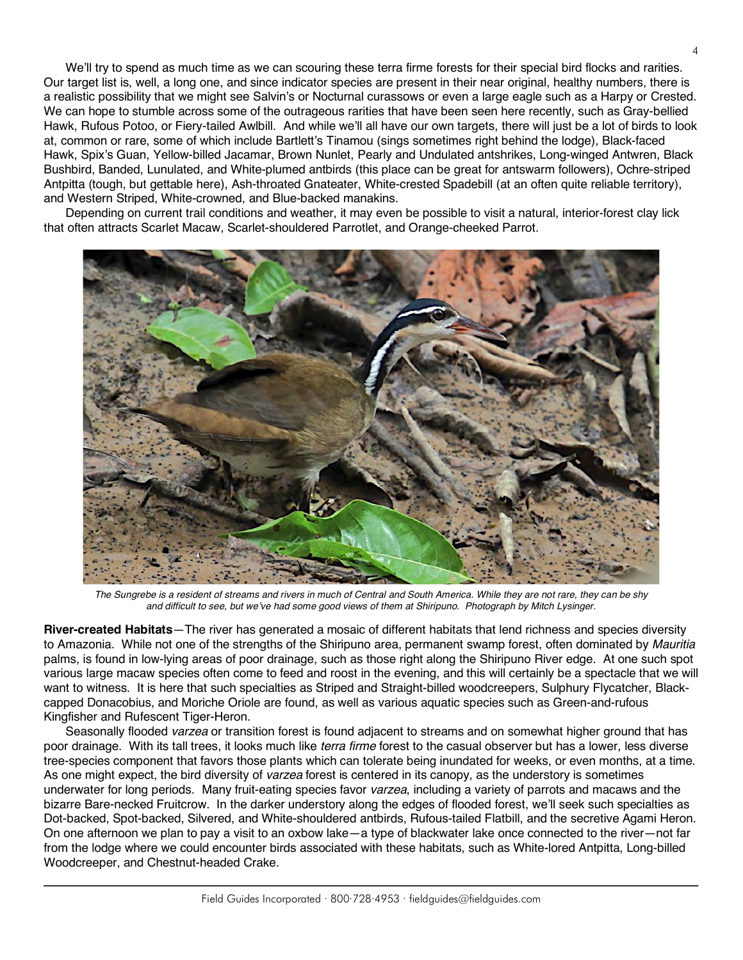We'll try to spend as much time as we can scouring these terra firme forests for their special bird flocks and rarities. Our target list is, well, a long one, and since indicator species are present in their near original, healthy numbers, there is a realistic possibility that we might see Salvin's or Nocturnal curassows or even a large eagle such as a Harpy or Crested. We can hope to stumble across some of the outrageous rarities that have been seen here recently, such as Gray-bellied Hawk, Rufous Potoo, or Fiery-tailed Awlbill. And while we'll all have our own targets, there will just be a lot of birds to look at, common or rare, some of which include Bartlett's Tinamou (sings sometimes right behind the lodge), Black-faced Hawk, Spix's Guan, Yellow-billed Jacamar, Brown Nunlet, Pearly and Undulated antshrikes, Long-winged Antwren, Black Bushbird, Banded, Lunulated, and White-plumed antbirds (this place can be great for antswarm followers), Ochre-striped Antpitta (tough, but gettable here), Ash-throated Gnateater, White-crested Spadebill (at an often quite reliable territory), and Western Striped, White-crowned, and Blue-backed manakins.

Depending on current trail conditions and weather, it may even be possible to visit a natural, interior-forest clay lick that often attracts Scarlet Macaw, Scarlet-shouldered Parrotlet, and Orange-cheeked Parrot.



*The Sungrebe is a resident of streams and rivers in much of Central and South America. While they are not rare, they can be shy and difficult to see, but we've had some good views of them at Shiripuno. Photograph by Mitch Lysinger.*

**River-created Habitats**—The river has generated a mosaic of different habitats that lend richness and species diversity to Amazonia. While not one of the strengths of the Shiripuno area, permanent swamp forest, often dominated by *Mauritia* palms, is found in low-lying areas of poor drainage, such as those right along the Shiripuno River edge. At one such spot various large macaw species often come to feed and roost in the evening, and this will certainly be a spectacle that we will want to witness. It is here that such specialties as Striped and Straight-billed woodcreepers, Sulphury Flycatcher, Blackcapped Donacobius, and Moriche Oriole are found, as well as various aquatic species such as Green-and-rufous Kingfisher and Rufescent Tiger-Heron.

Seasonally flooded *varzea* or transition forest is found adjacent to streams and on somewhat higher ground that has poor drainage. With its tall trees, it looks much like *terra firme* forest to the casual observer but has a lower, less diverse tree-species component that favors those plants which can tolerate being inundated for weeks, or even months, at a time. As one might expect, the bird diversity of *varzea* forest is centered in its canopy, as the understory is sometimes underwater for long periods. Many fruit-eating species favor *varzea*, including a variety of parrots and macaws and the bizarre Bare-necked Fruitcrow. In the darker understory along the edges of flooded forest, we'll seek such specialties as Dot-backed, Spot-backed, Silvered, and White-shouldered antbirds, Rufous-tailed Flatbill, and the secretive Agami Heron. On one afternoon we plan to pay a visit to an oxbow lake—a type of blackwater lake once connected to the river—not far from the lodge where we could encounter birds associated with these habitats, such as White-lored Antpitta, Long-billed Woodcreeper, and Chestnut-headed Crake.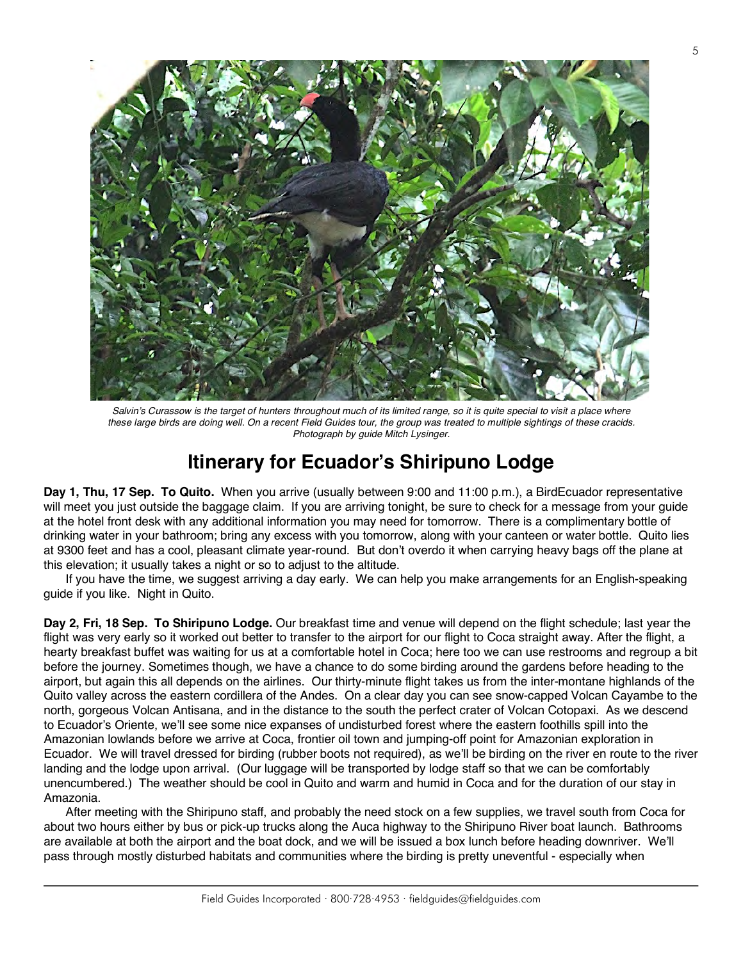

*Salvin's Curassow is the target of hunters throughout much of its limited range, so it is quite special to visit a place where these large birds are doing well. On a recent Field Guides tour, the group was treated to multiple sightings of these cracids. Photograph by guide Mitch Lysinger.*

#### **Itinerary for Ecuador's Shiripuno Lodge**

**Day 1, Thu, 17 Sep. To Quito.** When you arrive (usually between 9:00 and 11:00 p.m.), a BirdEcuador representative will meet you just outside the baggage claim. If you are arriving tonight, be sure to check for a message from your guide at the hotel front desk with any additional information you may need for tomorrow. There is a complimentary bottle of drinking water in your bathroom; bring any excess with you tomorrow, along with your canteen or water bottle. Quito lies at 9300 feet and has a cool, pleasant climate year-round. But don't overdo it when carrying heavy bags off the plane at this elevation; it usually takes a night or so to adjust to the altitude.

If you have the time, we suggest arriving a day early. We can help you make arrangements for an English-speaking guide if you like. Night in Quito.

**Day 2, Fri, 18 Sep. To Shiripuno Lodge.** Our breakfast time and venue will depend on the flight schedule; last year the flight was very early so it worked out better to transfer to the airport for our flight to Coca straight away. After the flight, a hearty breakfast buffet was waiting for us at a comfortable hotel in Coca; here too we can use restrooms and regroup a bit before the journey. Sometimes though, we have a chance to do some birding around the gardens before heading to the airport, but again this all depends on the airlines. Our thirty-minute flight takes us from the inter-montane highlands of the Quito valley across the eastern cordillera of the Andes. On a clear day you can see snow-capped Volcan Cayambe to the north, gorgeous Volcan Antisana, and in the distance to the south the perfect crater of Volcan Cotopaxi. As we descend to Ecuador's Oriente, we'll see some nice expanses of undisturbed forest where the eastern foothills spill into the Amazonian lowlands before we arrive at Coca, frontier oil town and jumping-off point for Amazonian exploration in Ecuador. We will travel dressed for birding (rubber boots not required), as we'll be birding on the river en route to the river landing and the lodge upon arrival. (Our luggage will be transported by lodge staff so that we can be comfortably unencumbered.) The weather should be cool in Quito and warm and humid in Coca and for the duration of our stay in Amazonia.

After meeting with the Shiripuno staff, and probably the need stock on a few supplies, we travel south from Coca for about two hours either by bus or pick-up trucks along the Auca highway to the Shiripuno River boat launch. Bathrooms are available at both the airport and the boat dock, and we will be issued a box lunch before heading downriver. We'll pass through mostly disturbed habitats and communities where the birding is pretty uneventful - especially when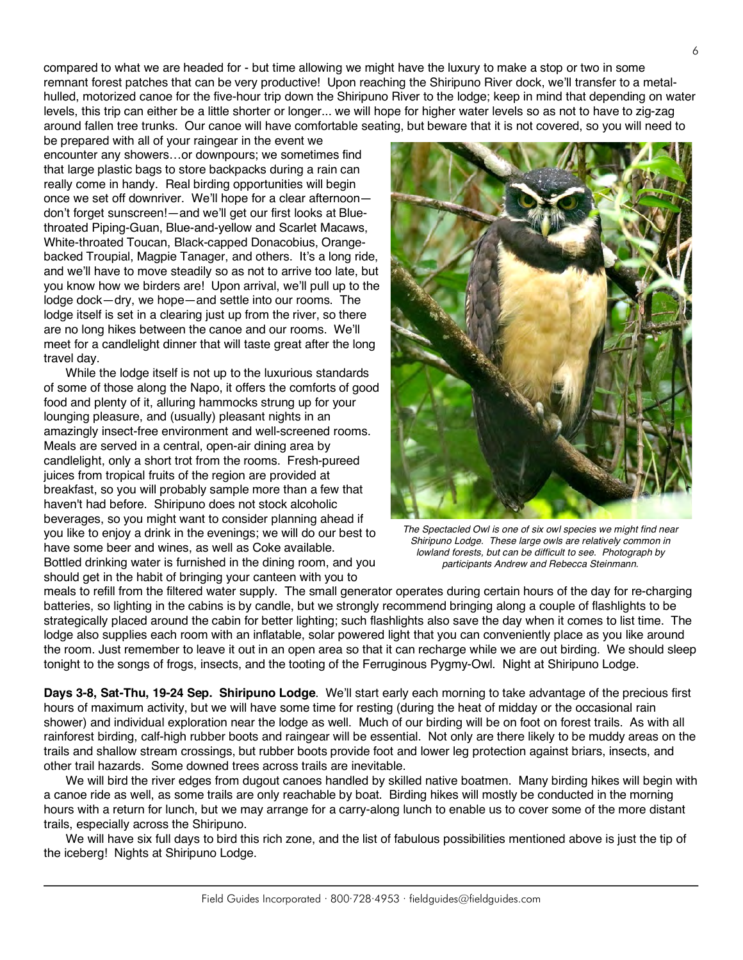compared to what we are headed for - but time allowing we might have the luxury to make a stop or two in some remnant forest patches that can be very productive! Upon reaching the Shiripuno River dock, we'll transfer to a metalhulled, motorized canoe for the five-hour trip down the Shiripuno River to the lodge; keep in mind that depending on water levels, this trip can either be a little shorter or longer... we will hope for higher water levels so as not to have to zig-zag around fallen tree trunks. Our canoe will have comfortable seating, but beware that it is not covered, so you will need to

be prepared with all of your raingear in the event we encounter any showers…or downpours; we sometimes find that large plastic bags to store backpacks during a rain can really come in handy. Real birding opportunities will begin once we set off downriver. We'll hope for a clear afternoon don't forget sunscreen!—and we'll get our first looks at Bluethroated Piping-Guan, Blue-and-yellow and Scarlet Macaws, White-throated Toucan, Black-capped Donacobius, Orangebacked Troupial, Magpie Tanager, and others. It's a long ride, and we'll have to move steadily so as not to arrive too late, but you know how we birders are! Upon arrival, we'll pull up to the lodge dock—dry, we hope—and settle into our rooms. The lodge itself is set in a clearing just up from the river, so there are no long hikes between the canoe and our rooms. We'll meet for a candlelight dinner that will taste great after the long travel day.

While the lodge itself is not up to the luxurious standards of some of those along the Napo, it offers the comforts of good food and plenty of it, alluring hammocks strung up for your lounging pleasure, and (usually) pleasant nights in an amazingly insect-free environment and well-screened rooms. Meals are served in a central, open-air dining area by candlelight, only a short trot from the rooms. Fresh-pureed juices from tropical fruits of the region are provided at breakfast, so you will probably sample more than a few that haven't had before. Shiripuno does not stock alcoholic beverages, so you might want to consider planning ahead if you like to enjoy a drink in the evenings; we will do our best to have some beer and wines, as well as Coke available. Bottled drinking water is furnished in the dining room, and you should get in the habit of bringing your canteen with you to



*The Spectacled Owl is one of six owl species we might find near Shiripuno Lodge. These large owls are relatively common in lowland forests, but can be difficult to see. Photograph by participants Andrew and Rebecca Steinmann.*

meals to refill from the filtered water supply. The small generator operates during certain hours of the day for re-charging batteries, so lighting in the cabins is by candle, but we strongly recommend bringing along a couple of flashlights to be strategically placed around the cabin for better lighting; such flashlights also save the day when it comes to list time. The lodge also supplies each room with an inflatable, solar powered light that you can conveniently place as you like around the room. Just remember to leave it out in an open area so that it can recharge while we are out birding. We should sleep tonight to the songs of frogs, insects, and the tooting of the Ferruginous Pygmy-Owl. Night at Shiripuno Lodge.

**Days 3-8, Sat-Thu, 19-24 Sep. Shiripuno Lodge**. We'll start early each morning to take advantage of the precious first hours of maximum activity, but we will have some time for resting (during the heat of midday or the occasional rain shower) and individual exploration near the lodge as well. Much of our birding will be on foot on forest trails. As with all rainforest birding, calf-high rubber boots and raingear will be essential. Not only are there likely to be muddy areas on the trails and shallow stream crossings, but rubber boots provide foot and lower leg protection against briars, insects, and other trail hazards. Some downed trees across trails are inevitable.

We will bird the river edges from dugout canoes handled by skilled native boatmen. Many birding hikes will begin with a canoe ride as well, as some trails are only reachable by boat. Birding hikes will mostly be conducted in the morning hours with a return for lunch, but we may arrange for a carry-along lunch to enable us to cover some of the more distant trails, especially across the Shiripuno.

We will have six full days to bird this rich zone, and the list of fabulous possibilities mentioned above is just the tip of the iceberg! Nights at Shiripuno Lodge.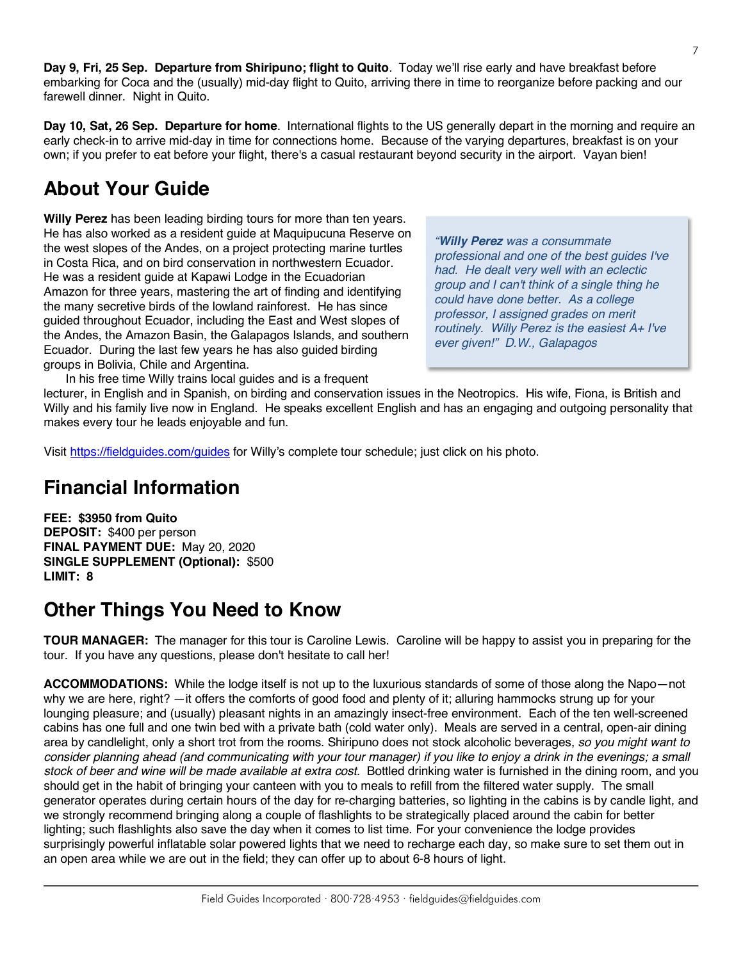**Day 9, Fri, 25 Sep. Departure from Shiripuno; flight to Quito**. Today we'll rise early and have breakfast before embarking for Coca and the (usually) mid-day flight to Quito, arriving there in time to reorganize before packing and our farewell dinner. Night in Quito.

**Day 10, Sat, 26 Sep. Departure for home**. International flights to the US generally depart in the morning and require an early check-in to arrive mid-day in time for connections home. Because of the varying departures, breakfast is on your own; if you prefer to eat before your flight, there's a casual restaurant beyond security in the airport. Vayan bien!

## **About Your Guide**

**Willy Perez** has been leading birding tours for more than ten years. He has also worked as a resident guide at Maquipucuna Reserve on the west slopes of the Andes, on a project protecting marine turtles in Costa Rica, and on bird conservation in northwestern Ecuador. He was a resident guide at Kapawi Lodge in the Ecuadorian Amazon for three years, mastering the art of finding and identifying the many secretive birds of the lowland rainforest. He has since guided throughout Ecuador, including the East and West slopes of the Andes, the Amazon Basin, the Galapagos Islands, and southern Ecuador. During the last few years he has also guided birding groups in Bolivia, Chile and Argentina.

*"Willy Perez was a consummate professional and one of the best guides I've had. He dealt very well with an eclectic group and I can't think of a single thing he could have done better. As a college professor, I assigned grades on merit routinely. Willy Perez is the easiest A+ I've ever given!" D.W., Galapagos*

In his free time Willy trains local guides and is a frequent

lecturer, in English and in Spanish, on birding and conservation issues in the Neotropics. His wife, Fiona, is British and Willy and his family live now in England. He speaks excellent English and has an engaging and outgoing personality that makes every tour he leads enjoyable and fun.

Visit https://fieldguides.com/guides for Willy's complete tour schedule; just click on his photo.

## **Financial Information**

**FEE: \$3950 from Quito DEPOSIT:** \$400 per person **FINAL PAYMENT DUE:** May 20, 2020 **SINGLE SUPPLEMENT (Optional):** \$500 **LIMIT: 8**

### **Other Things You Need to Know**

**TOUR MANAGER:** The manager for this tour is Caroline Lewis. Caroline will be happy to assist you in preparing for the tour. If you have any questions, please don't hesitate to call her!

**ACCOMMODATIONS:** While the lodge itself is not up to the luxurious standards of some of those along the Napo—not why we are here, right? —it offers the comforts of good food and plenty of it; alluring hammocks strung up for your lounging pleasure; and (usually) pleasant nights in an amazingly insect-free environment. Each of the ten well-screened cabins has one full and one twin bed with a private bath (cold water only). Meals are served in a central, open-air dining area by candlelight, only a short trot from the rooms. Shiripuno does not stock alcoholic beverages, *so you might want to consider planning ahead (and communicating with your tour manager) if you like to enjoy a drink in the evenings; a small stock of beer and wine will be made available at extra cost.* Bottled drinking water is furnished in the dining room, and you should get in the habit of bringing your canteen with you to meals to refill from the filtered water supply. The small generator operates during certain hours of the day for re-charging batteries, so lighting in the cabins is by candle light, and we strongly recommend bringing along a couple of flashlights to be strategically placed around the cabin for better lighting; such flashlights also save the day when it comes to list time. For your convenience the lodge provides surprisingly powerful inflatable solar powered lights that we need to recharge each day, so make sure to set them out in an open area while we are out in the field; they can offer up to about 6-8 hours of light.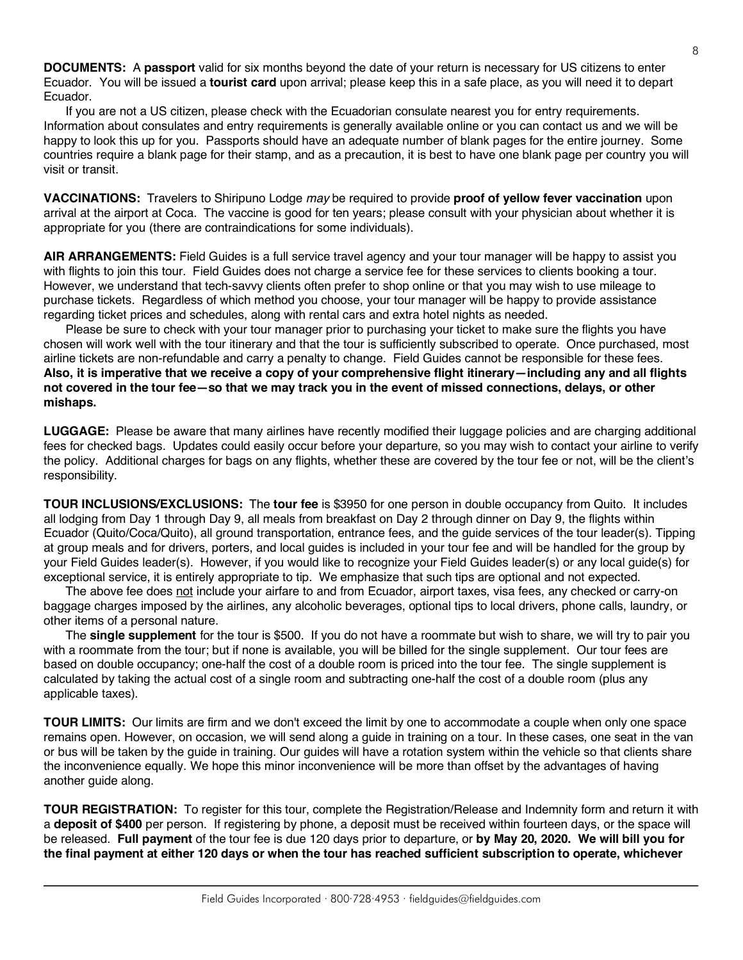**DOCUMENTS:** A **passport** valid for six months beyond the date of your return is necessary for US citizens to enter Ecuador. You will be issued a **tourist card** upon arrival; please keep this in a safe place, as you will need it to depart Ecuador.

If you are not a US citizen, please check with the Ecuadorian consulate nearest you for entry requirements. Information about consulates and entry requirements is generally available online or you can contact us and we will be happy to look this up for you. Passports should have an adequate number of blank pages for the entire journey. Some countries require a blank page for their stamp, and as a precaution, it is best to have one blank page per country you will visit or transit.

**VACCINATIONS:** Travelers to Shiripuno Lodge *may* be required to provide **proof of yellow fever vaccination** upon arrival at the airport at Coca. The vaccine is good for ten years; please consult with your physician about whether it is appropriate for you (there are contraindications for some individuals).

**AIR ARRANGEMENTS:** Field Guides is a full service travel agency and your tour manager will be happy to assist you with flights to join this tour. Field Guides does not charge a service fee for these services to clients booking a tour. However, we understand that tech-savvy clients often prefer to shop online or that you may wish to use mileage to purchase tickets. Regardless of which method you choose, your tour manager will be happy to provide assistance regarding ticket prices and schedules, along with rental cars and extra hotel nights as needed.

Please be sure to check with your tour manager prior to purchasing your ticket to make sure the flights you have chosen will work well with the tour itinerary and that the tour is sufficiently subscribed to operate. Once purchased, most airline tickets are non-refundable and carry a penalty to change. Field Guides cannot be responsible for these fees. **Also, it is imperative that we receive a copy of your comprehensive flight itinerary—including any and all flights not covered in the tour fee—so that we may track you in the event of missed connections, delays, or other mishaps.**

**LUGGAGE:** Please be aware that many airlines have recently modified their luggage policies and are charging additional fees for checked bags. Updates could easily occur before your departure, so you may wish to contact your airline to verify the policy. Additional charges for bags on any flights, whether these are covered by the tour fee or not, will be the client's responsibility.

**TOUR INCLUSIONS/EXCLUSIONS:** The **tour fee** is \$3950 for one person in double occupancy from Quito. It includes all lodging from Day 1 through Day 9, all meals from breakfast on Day 2 through dinner on Day 9, the flights within Ecuador (Quito/Coca/Quito), all ground transportation, entrance fees, and the guide services of the tour leader(s). Tipping at group meals and for drivers, porters, and local guides is included in your tour fee and will be handled for the group by your Field Guides leader(s). However, if you would like to recognize your Field Guides leader(s) or any local guide(s) for exceptional service, it is entirely appropriate to tip. We emphasize that such tips are optional and not expected.

The above fee does not include your airfare to and from Ecuador, airport taxes, visa fees, any checked or carry-on baggage charges imposed by the airlines, any alcoholic beverages, optional tips to local drivers, phone calls, laundry, or other items of a personal nature.

The **single supplement** for the tour is \$500. If you do not have a roommate but wish to share, we will try to pair you with a roommate from the tour; but if none is available, you will be billed for the single supplement. Our tour fees are based on double occupancy; one-half the cost of a double room is priced into the tour fee. The single supplement is calculated by taking the actual cost of a single room and subtracting one-half the cost of a double room (plus any applicable taxes).

**TOUR LIMITS:** Our limits are firm and we don't exceed the limit by one to accommodate a couple when only one space remains open. However, on occasion, we will send along a guide in training on a tour. In these cases, one seat in the van or bus will be taken by the guide in training. Our guides will have a rotation system within the vehicle so that clients share the inconvenience equally. We hope this minor inconvenience will be more than offset by the advantages of having another guide along.

**TOUR REGISTRATION:** To register for this tour, complete the Registration/Release and Indemnity form and return it with a **deposit of \$400** per person. If registering by phone, a deposit must be received within fourteen days, or the space will be released. **Full payment** of the tour fee is due 120 days prior to departure, or **by May 20, 2020. We will bill you for the final payment at either 120 days or when the tour has reached sufficient subscription to operate, whichever**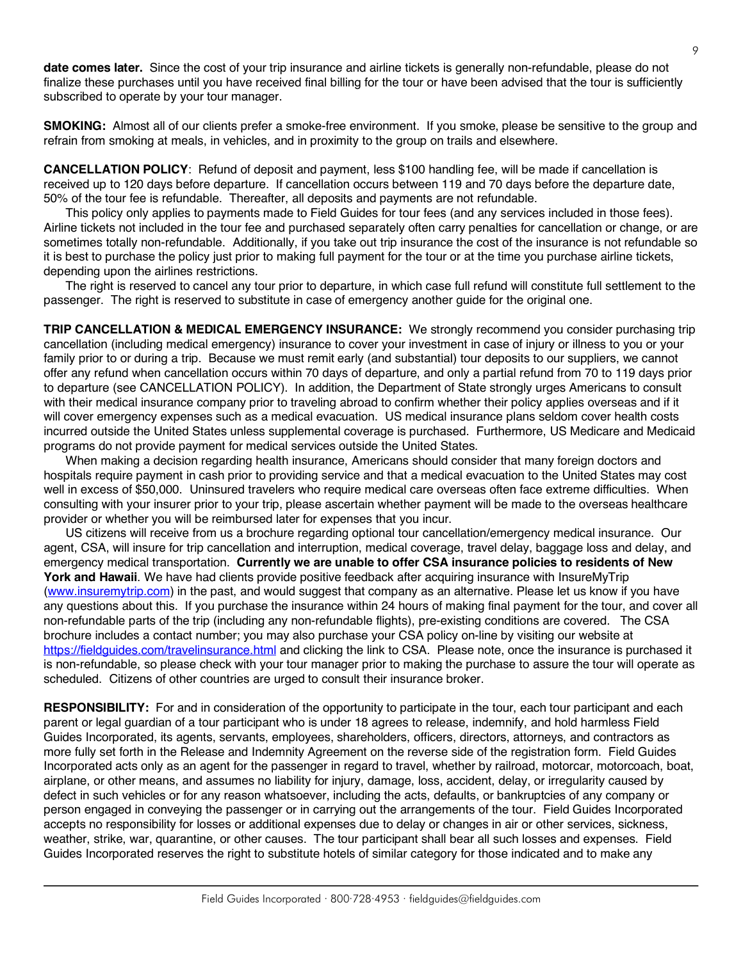**date comes later.** Since the cost of your trip insurance and airline tickets is generally non-refundable, please do not finalize these purchases until you have received final billing for the tour or have been advised that the tour is sufficiently subscribed to operate by your tour manager.

**SMOKING:** Almost all of our clients prefer a smoke-free environment. If you smoke, please be sensitive to the group and refrain from smoking at meals, in vehicles, and in proximity to the group on trails and elsewhere.

**CANCELLATION POLICY**: Refund of deposit and payment, less \$100 handling fee, will be made if cancellation is received up to 120 days before departure. If cancellation occurs between 119 and 70 days before the departure date, 50% of the tour fee is refundable. Thereafter, all deposits and payments are not refundable.

This policy only applies to payments made to Field Guides for tour fees (and any services included in those fees). Airline tickets not included in the tour fee and purchased separately often carry penalties for cancellation or change, or are sometimes totally non-refundable. Additionally, if you take out trip insurance the cost of the insurance is not refundable so it is best to purchase the policy just prior to making full payment for the tour or at the time you purchase airline tickets, depending upon the airlines restrictions.

The right is reserved to cancel any tour prior to departure, in which case full refund will constitute full settlement to the passenger. The right is reserved to substitute in case of emergency another guide for the original one.

**TRIP CANCELLATION & MEDICAL EMERGENCY INSURANCE:** We strongly recommend you consider purchasing trip cancellation (including medical emergency) insurance to cover your investment in case of injury or illness to you or your family prior to or during a trip. Because we must remit early (and substantial) tour deposits to our suppliers, we cannot offer any refund when cancellation occurs within 70 days of departure, and only a partial refund from 70 to 119 days prior to departure (see CANCELLATION POLICY). In addition, the Department of State strongly urges Americans to consult with their medical insurance company prior to traveling abroad to confirm whether their policy applies overseas and if it will cover emergency expenses such as a medical evacuation. US medical insurance plans seldom cover health costs incurred outside the United States unless supplemental coverage is purchased. Furthermore, US Medicare and Medicaid programs do not provide payment for medical services outside the United States.

When making a decision regarding health insurance, Americans should consider that many foreign doctors and hospitals require payment in cash prior to providing service and that a medical evacuation to the United States may cost well in excess of \$50,000. Uninsured travelers who require medical care overseas often face extreme difficulties. When consulting with your insurer prior to your trip, please ascertain whether payment will be made to the overseas healthcare provider or whether you will be reimbursed later for expenses that you incur.

US citizens will receive from us a brochure regarding optional tour cancellation/emergency medical insurance. Our agent, CSA, will insure for trip cancellation and interruption, medical coverage, travel delay, baggage loss and delay, and emergency medical transportation. **Currently we are unable to offer CSA insurance policies to residents of New York and Hawaii**. We have had clients provide positive feedback after acquiring insurance with InsureMyTrip (www.insuremytrip.com) in the past, and would suggest that company as an alternative. Please let us know if you have any questions about this. If you purchase the insurance within 24 hours of making final payment for the tour, and cover all non-refundable parts of the trip (including any non-refundable flights), pre-existing conditions are covered. The CSA brochure includes a contact number; you may also purchase your CSA policy on-line by visiting our website at https://fieldguides.com/travelinsurance.html and clicking the link to CSA. Please note, once the insurance is purchased it is non-refundable, so please check with your tour manager prior to making the purchase to assure the tour will operate as scheduled. Citizens of other countries are urged to consult their insurance broker.

**RESPONSIBILITY:** For and in consideration of the opportunity to participate in the tour, each tour participant and each parent or legal guardian of a tour participant who is under 18 agrees to release, indemnify, and hold harmless Field Guides Incorporated, its agents, servants, employees, shareholders, officers, directors, attorneys, and contractors as more fully set forth in the Release and Indemnity Agreement on the reverse side of the registration form. Field Guides Incorporated acts only as an agent for the passenger in regard to travel, whether by railroad, motorcar, motorcoach, boat, airplane, or other means, and assumes no liability for injury, damage, loss, accident, delay, or irregularity caused by defect in such vehicles or for any reason whatsoever, including the acts, defaults, or bankruptcies of any company or person engaged in conveying the passenger or in carrying out the arrangements of the tour. Field Guides Incorporated accepts no responsibility for losses or additional expenses due to delay or changes in air or other services, sickness, weather, strike, war, quarantine, or other causes. The tour participant shall bear all such losses and expenses. Field Guides Incorporated reserves the right to substitute hotels of similar category for those indicated and to make any